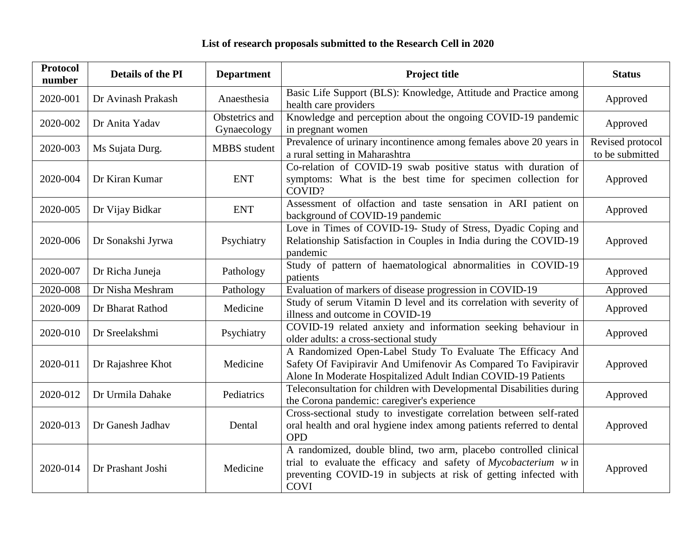## **List of research proposals submitted to the Research Cell in 2020**

| <b>Protocol</b><br>number | <b>Details of the PI</b> | <b>Department</b>             | <b>Project title</b>                                                                                                                                                                                                   | <b>Status</b>                       |
|---------------------------|--------------------------|-------------------------------|------------------------------------------------------------------------------------------------------------------------------------------------------------------------------------------------------------------------|-------------------------------------|
| 2020-001                  | Dr Avinash Prakash       | Anaesthesia                   | Basic Life Support (BLS): Knowledge, Attitude and Practice among<br>health care providers                                                                                                                              | Approved                            |
| 2020-002                  | Dr Anita Yadav           | Obstetrics and<br>Gynaecology | Knowledge and perception about the ongoing COVID-19 pandemic<br>in pregnant women                                                                                                                                      | Approved                            |
| 2020-003                  | Ms Sujata Durg.          | <b>MBBS</b> student           | Prevalence of urinary incontinence among females above 20 years in<br>a rural setting in Maharashtra                                                                                                                   | Revised protocol<br>to be submitted |
| 2020-004                  | Dr Kiran Kumar           | <b>ENT</b>                    | Co-relation of COVID-19 swab positive status with duration of<br>symptoms: What is the best time for specimen collection for<br>COVID?                                                                                 | Approved                            |
| 2020-005                  | Dr Vijay Bidkar          | <b>ENT</b>                    | Assessment of olfaction and taste sensation in ARI patient on<br>background of COVID-19 pandemic                                                                                                                       | Approved                            |
| 2020-006                  | Dr Sonakshi Jyrwa        | Psychiatry                    | Love in Times of COVID-19- Study of Stress, Dyadic Coping and<br>Relationship Satisfaction in Couples in India during the COVID-19<br>pandemic                                                                         | Approved                            |
| 2020-007                  | Dr Richa Juneja          | Pathology                     | Study of pattern of haematological abnormalities in COVID-19<br>patients                                                                                                                                               | Approved                            |
| 2020-008                  | Dr Nisha Meshram         | Pathology                     | Evaluation of markers of disease progression in COVID-19                                                                                                                                                               | Approved                            |
| 2020-009                  | Dr Bharat Rathod         | Medicine                      | Study of serum Vitamin D level and its correlation with severity of<br>illness and outcome in COVID-19                                                                                                                 | Approved                            |
| 2020-010                  | Dr Sreelakshmi           | Psychiatry                    | COVID-19 related anxiety and information seeking behaviour in<br>older adults: a cross-sectional study                                                                                                                 | Approved                            |
| 2020-011                  | Dr Rajashree Khot        | Medicine                      | A Randomized Open-Label Study To Evaluate The Efficacy And<br>Safety Of Favipiravir And Umifenovir As Compared To Favipiravir<br>Alone In Moderate Hospitalized Adult Indian COVID-19 Patients                         | Approved                            |
| 2020-012                  | Dr Urmila Dahake         | Pediatrics                    | Teleconsultation for children with Developmental Disabilities during<br>the Corona pandemic: caregiver's experience                                                                                                    | Approved                            |
| 2020-013                  | Dr Ganesh Jadhav         | Dental                        | Cross-sectional study to investigate correlation between self-rated<br>oral health and oral hygiene index among patients referred to dental<br><b>OPD</b>                                                              | Approved                            |
| 2020-014                  | Dr Prashant Joshi        | Medicine                      | A randomized, double blind, two arm, placebo controlled clinical<br>trial to evaluate the efficacy and safety of Mycobacterium w in<br>preventing COVID-19 in subjects at risk of getting infected with<br><b>COVI</b> | Approved                            |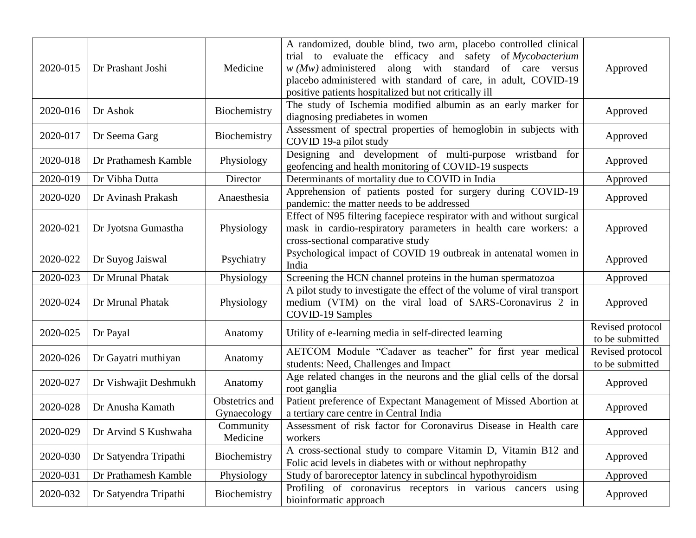| 2020-015 | Dr Prashant Joshi     | Medicine                      | A randomized, double blind, two arm, placebo controlled clinical<br>trial to evaluate the efficacy and safety<br>of Mycobacterium<br>along with standard<br>$w(Mw)$ administered<br>of care versus<br>placebo administered with standard of care, in adult, COVID-19<br>positive patients hospitalized but not critically ill | Approved                            |
|----------|-----------------------|-------------------------------|-------------------------------------------------------------------------------------------------------------------------------------------------------------------------------------------------------------------------------------------------------------------------------------------------------------------------------|-------------------------------------|
| 2020-016 | Dr Ashok              | Biochemistry                  | The study of Ischemia modified albumin as an early marker for<br>diagnosing prediabetes in women                                                                                                                                                                                                                              | Approved                            |
| 2020-017 | Dr Seema Garg         | Biochemistry                  | Assessment of spectral properties of hemoglobin in subjects with<br>COVID 19-a pilot study                                                                                                                                                                                                                                    | Approved                            |
| 2020-018 | Dr Prathamesh Kamble  | Physiology                    | Designing and development of multi-purpose wristband<br>for<br>geofencing and health monitoring of COVID-19 suspects                                                                                                                                                                                                          | Approved                            |
| 2020-019 | Dr Vibha Dutta        | Director                      | Determinants of mortality due to COVID in India                                                                                                                                                                                                                                                                               | Approved                            |
| 2020-020 | Dr Avinash Prakash    | Anaesthesia                   | Apprehension of patients posted for surgery during COVID-19<br>pandemic: the matter needs to be addressed                                                                                                                                                                                                                     | Approved                            |
| 2020-021 | Dr Jyotsna Gumastha   | Physiology                    | Effect of N95 filtering facepiece respirator with and without surgical<br>mask in cardio-respiratory parameters in health care workers: a<br>cross-sectional comparative study                                                                                                                                                | Approved                            |
| 2020-022 | Dr Suyog Jaiswal      | Psychiatry                    | Psychological impact of COVID 19 outbreak in antenatal women in<br>India                                                                                                                                                                                                                                                      | Approved                            |
| 2020-023 | Dr Mrunal Phatak      | Physiology                    | Screening the HCN channel proteins in the human spermatozoa                                                                                                                                                                                                                                                                   | Approved                            |
| 2020-024 | Dr Mrunal Phatak      | Physiology                    | A pilot study to investigate the effect of the volume of viral transport<br>medium (VTM) on the viral load of SARS-Coronavirus 2 in<br>COVID-19 Samples                                                                                                                                                                       | Approved                            |
| 2020-025 | Dr Payal              | Anatomy                       | Utility of e-learning media in self-directed learning                                                                                                                                                                                                                                                                         | Revised protocol<br>to be submitted |
| 2020-026 | Dr Gayatri muthiyan   | Anatomy                       | AETCOM Module "Cadaver as teacher" for first year medical<br>students: Need, Challenges and Impact                                                                                                                                                                                                                            | Revised protocol<br>to be submitted |
| 2020-027 | Dr Vishwajit Deshmukh | Anatomy                       | Age related changes in the neurons and the glial cells of the dorsal<br>root ganglia                                                                                                                                                                                                                                          | Approved                            |
| 2020-028 | Dr Anusha Kamath      | Obstetrics and<br>Gynaecology | Patient preference of Expectant Management of Missed Abortion at<br>a tertiary care centre in Central India                                                                                                                                                                                                                   | Approved                            |
| 2020-029 | Dr Arvind S Kushwaha  | Community<br>Medicine         | Assessment of risk factor for Coronavirus Disease in Health care<br>workers                                                                                                                                                                                                                                                   | Approved                            |
| 2020-030 | Dr Satyendra Tripathi | Biochemistry                  | A cross-sectional study to compare Vitamin D, Vitamin B12 and<br>Folic acid levels in diabetes with or without nephropathy                                                                                                                                                                                                    | Approved                            |
| 2020-031 | Dr Prathamesh Kamble  | Physiology                    | Study of baroreceptor latency in subclineal hypothyroidism                                                                                                                                                                                                                                                                    | Approved                            |
| 2020-032 | Dr Satyendra Tripathi | Biochemistry                  | Profiling of coronavirus receptors in various cancers using<br>bioinformatic approach                                                                                                                                                                                                                                         | Approved                            |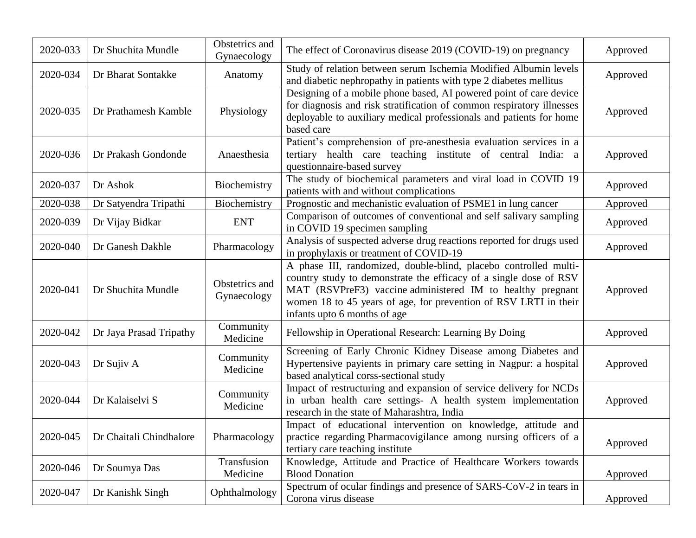| 2020-033 | Dr Shuchita Mundle      | Obstetrics and<br>Gynaecology | The effect of Coronavirus disease 2019 (COVID-19) on pregnancy                                                                                                                                                                                                                                          | Approved |
|----------|-------------------------|-------------------------------|---------------------------------------------------------------------------------------------------------------------------------------------------------------------------------------------------------------------------------------------------------------------------------------------------------|----------|
| 2020-034 | Dr Bharat Sontakke      | Anatomy                       | Study of relation between serum Ischemia Modified Albumin levels<br>and diabetic nephropathy in patients with type 2 diabetes mellitus                                                                                                                                                                  | Approved |
| 2020-035 | Dr Prathamesh Kamble    | Physiology                    | Designing of a mobile phone based, AI powered point of care device<br>for diagnosis and risk stratification of common respiratory illnesses<br>deployable to auxiliary medical professionals and patients for home<br>based care                                                                        | Approved |
| 2020-036 | Dr Prakash Gondonde     | Anaesthesia                   | Patient's comprehension of pre-anesthesia evaluation services in a<br>tertiary health care teaching institute of central India: a<br>questionnaire-based survey                                                                                                                                         | Approved |
| 2020-037 | Dr Ashok                | Biochemistry                  | The study of biochemical parameters and viral load in COVID 19<br>patients with and without complications                                                                                                                                                                                               | Approved |
| 2020-038 | Dr Satyendra Tripathi   | Biochemistry                  | Prognostic and mechanistic evaluation of PSME1 in lung cancer                                                                                                                                                                                                                                           | Approved |
| 2020-039 | Dr Vijay Bidkar         | <b>ENT</b>                    | Comparison of outcomes of conventional and self salivary sampling<br>in COVID 19 specimen sampling                                                                                                                                                                                                      | Approved |
| 2020-040 | Dr Ganesh Dakhle        | Pharmacology                  | Analysis of suspected adverse drug reactions reported for drugs used<br>in prophylaxis or treatment of COVID-19                                                                                                                                                                                         | Approved |
| 2020-041 | Dr Shuchita Mundle      | Obstetrics and<br>Gynaecology | A phase III, randomized, double-blind, placebo controlled multi-<br>country study to demonstrate the efficacy of a single dose of RSV<br>MAT (RSVPreF3) vaccine administered IM to healthy pregnant<br>women 18 to 45 years of age, for prevention of RSV LRTI in their<br>infants upto 6 months of age | Approved |
| 2020-042 | Dr Jaya Prasad Tripathy | Community<br>Medicine         | Fellowship in Operational Research: Learning By Doing                                                                                                                                                                                                                                                   | Approved |
| 2020-043 | Dr Sujiv A              | Community<br>Medicine         | Screening of Early Chronic Kidney Disease among Diabetes and<br>Hypertensive payients in primary care setting in Nagpur: a hospital<br>based analytical corss-sectional study                                                                                                                           | Approved |
| 2020-044 | Dr Kalaiselvi S         | Community<br>Medicine         | Impact of restructuring and expansion of service delivery for NCDs<br>in urban health care settings- A health system implementation<br>research in the state of Maharashtra, India                                                                                                                      | Approved |
| 2020-045 | Dr Chaitali Chindhalore | Pharmacology                  | Impact of educational intervention on knowledge, attitude and<br>practice regarding Pharmacovigilance among nursing officers of a<br>tertiary care teaching institute                                                                                                                                   | Approved |
| 2020-046 | Dr Soumya Das           | Transfusion<br>Medicine       | Knowledge, Attitude and Practice of Healthcare Workers towards<br><b>Blood Donation</b>                                                                                                                                                                                                                 | Approved |
| 2020-047 | Dr Kanishk Singh        | Ophthalmology                 | Spectrum of ocular findings and presence of SARS-CoV-2 in tears in<br>Corona virus disease                                                                                                                                                                                                              | Approved |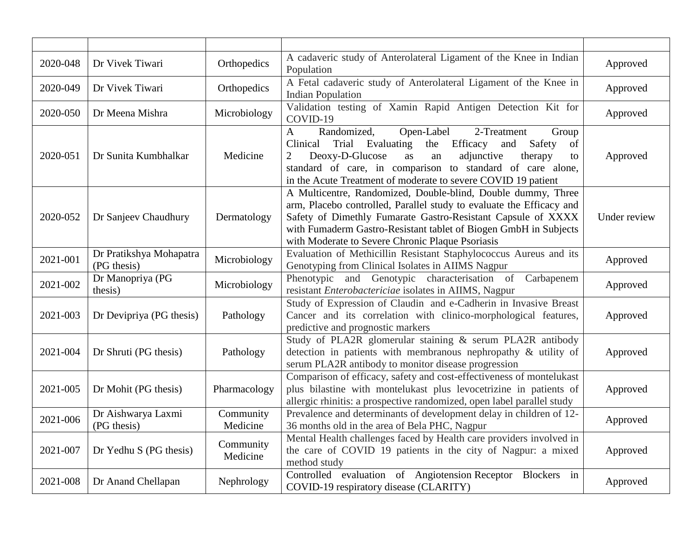| 2020-048 | Dr Vivek Tiwari                        | Orthopedics           | A cadaveric study of Anterolateral Ligament of the Knee in Indian<br>Population                                                                                                                                                                                                                                                                 | Approved     |
|----------|----------------------------------------|-----------------------|-------------------------------------------------------------------------------------------------------------------------------------------------------------------------------------------------------------------------------------------------------------------------------------------------------------------------------------------------|--------------|
| 2020-049 | Dr Vivek Tiwari                        | Orthopedics           | A Fetal cadaveric study of Anterolateral Ligament of the Knee in<br><b>Indian Population</b>                                                                                                                                                                                                                                                    | Approved     |
| 2020-050 | Dr Meena Mishra                        | Microbiology          | Validation testing of Xamin Rapid Antigen Detection Kit for<br>COVID-19                                                                                                                                                                                                                                                                         | Approved     |
| 2020-051 | Dr Sunita Kumbhalkar                   | Medicine              | Randomized,<br>Open-Label<br>2-Treatment<br>Group<br>A<br>Clinical<br>Trial Evaluating<br>the<br>Efficacy<br>Safety<br>and<br>of<br>Deoxy-D-Glucose<br>adjunctive<br>therapy<br>$\overline{2}$<br>as<br>an<br>to<br>standard of care, in comparison to standard of care alone,<br>in the Acute Treatment of moderate to severe COVID 19 patient | Approved     |
| 2020-052 | Dr Sanjeev Chaudhury                   | Dermatology           | A Multicentre, Randomized, Double-blind, Double dummy, Three<br>arm, Placebo controlled, Parallel study to evaluate the Efficacy and<br>Safety of Dimethly Fumarate Gastro-Resistant Capsule of XXXX<br>with Fumaderm Gastro-Resistant tablet of Biogen GmbH in Subjects<br>with Moderate to Severe Chronic Plaque Psoriasis                    | Under review |
| 2021-001 | Dr Pratikshya Mohapatra<br>(PG thesis) | Microbiology          | Evaluation of Methicillin Resistant Staphylococcus Aureus and its<br>Genotyping from Clinical Isolates in AIIMS Nagpur                                                                                                                                                                                                                          | Approved     |
| 2021-002 | Dr Manopriya (PG<br>thesis)            | Microbiology          | Phenotypic and Genotypic characterisation of Carbapenem<br>resistant Enterobactericiae isolates in AIIMS, Nagpur                                                                                                                                                                                                                                | Approved     |
| 2021-003 | Dr Devipriya (PG thesis)               | Pathology             | Study of Expression of Claudin and e-Cadherin in Invasive Breast<br>Cancer and its correlation with clinico-morphological features,<br>predictive and prognostic markers                                                                                                                                                                        | Approved     |
| 2021-004 | Dr Shruti (PG thesis)                  | Pathology             | Study of PLA2R glomerular staining & serum PLA2R antibody<br>detection in patients with membranous nephropathy & utility of<br>serum PLA2R antibody to monitor disease progression                                                                                                                                                              | Approved     |
| 2021-005 | Dr Mohit (PG thesis)                   | Pharmacology          | Comparison of efficacy, safety and cost-effectiveness of montelukast<br>plus bilastine with montelukast plus levocetrizine in patients of<br>allergic rhinitis: a prospective randomized, open label parallel study                                                                                                                             | Approved     |
| 2021-006 | Dr Aishwarya Laxmi<br>(PG thesis)      | Community<br>Medicine | Prevalence and determinants of development delay in children of 12-<br>36 months old in the area of Bela PHC, Nagpur                                                                                                                                                                                                                            | Approved     |
| 2021-007 | Dr Yedhu S (PG thesis)                 | Community<br>Medicine | Mental Health challenges faced by Health care providers involved in<br>the care of COVID 19 patients in the city of Nagpur: a mixed<br>method study                                                                                                                                                                                             | Approved     |
| 2021-008 | Dr Anand Chellapan                     | Nephrology            | Controlled evaluation of Angiotension Receptor Blockers in<br>COVID-19 respiratory disease (CLARITY)                                                                                                                                                                                                                                            | Approved     |